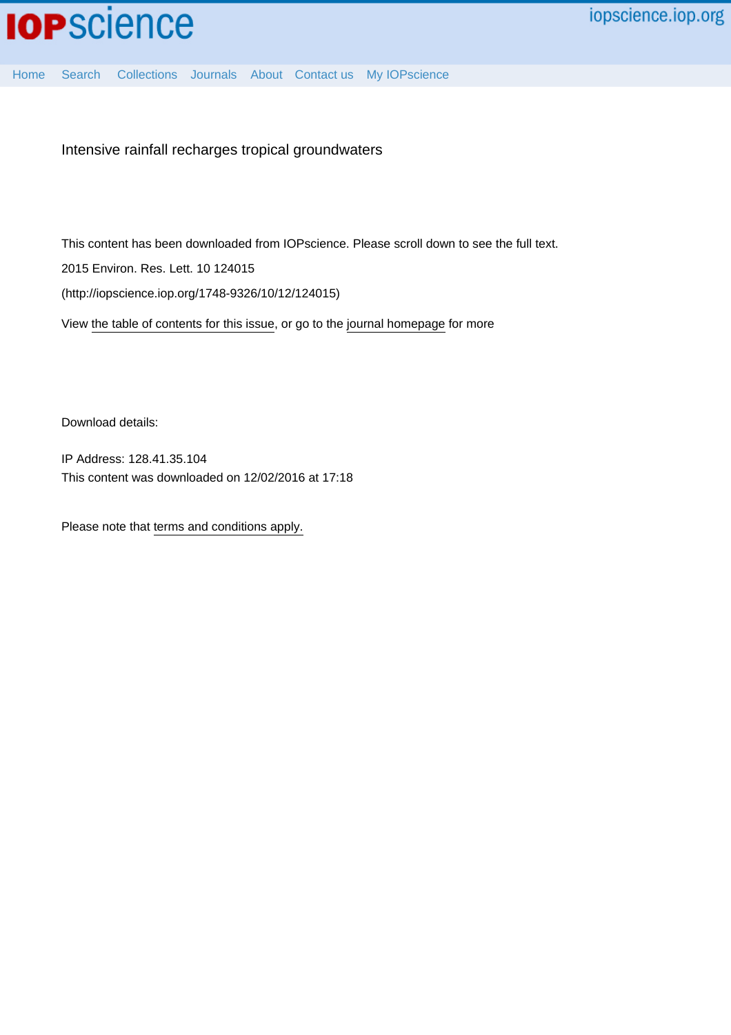

Intensive rainfall recharges tropical groundwaters

This content has been downloaded from IOPscience. Please scroll down to see the full text.

2015 Environ. Res. Lett. 10 124015

(http://iopscience.iop.org/1748-9326/10/12/124015)

View [the table of contents for this issue](http://iopscience.iop.org/1748-9326/10/12), or go to the [journal homepage](http://iopscience.iop.org/1748-9326) for more

Download details:

IP Address: 128.41.35.104 This content was downloaded on 12/02/2016 at 17:18

Please note that [terms and conditions apply.](iopscience.iop.org/page/terms)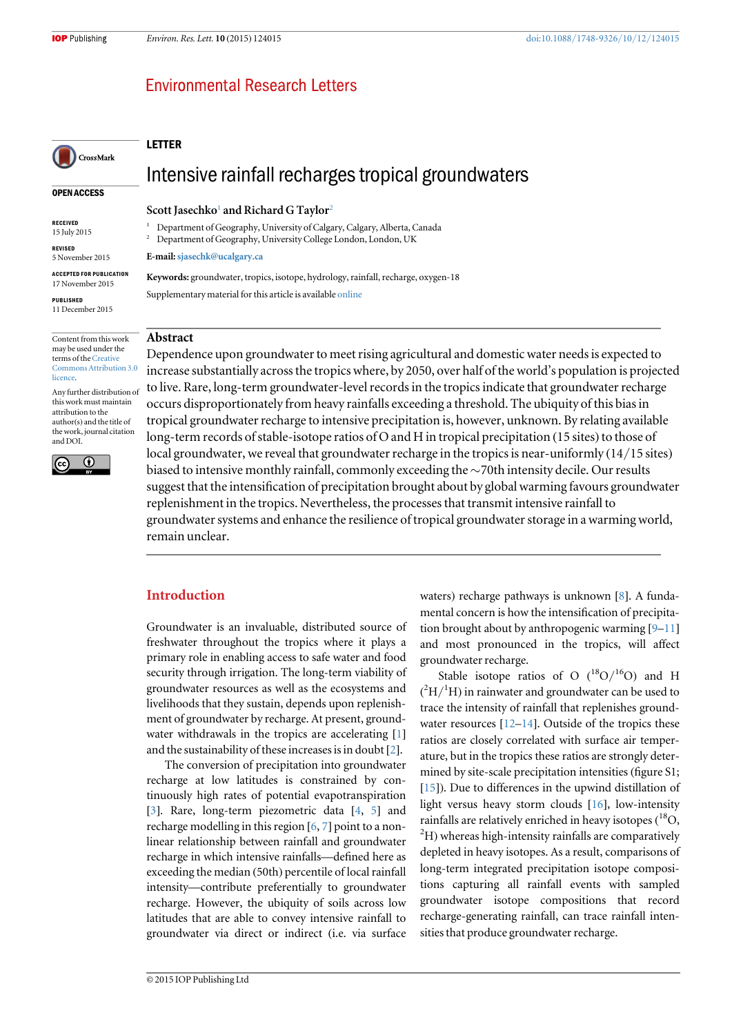OPEN ACCESS

CrossMark

RECEIVED 15 July 2015 REVISED 5 November 2015 ACCEPTED FOR PUBLICATION 17 November 2015 PUBLISHED 11 December 2015

# **Environmental Research Letters**

#### LETTER

# Intensive rainfall recharges tropical groundwaters

#### Scott Jasechko<sup>[1](#page-1-0)</sup> and Richard G Taylor<sup>[2](#page-1-1)</sup>

<span id="page-1-0"></span><sup>1</sup> Department of Geography, University of Calgary, Calgary, Alberta, Canada

<span id="page-1-1"></span><sup>2</sup> Department of Geography, University College London, London, UK

E-mail:[sjasechk@ucalgary.ca](mailto:sjasechk@ucalgary.ca)

Keywords: groundwater, tropics, isotope, hydrology, rainfall, recharge, oxygen-18 Supplementary material for this article is available [online](http://dx.doi.org/10.1088/1748-9326/10/12/124015)

## Abstract

Content from this work may be used under the terms of the [Creative](http://creativecommons.org/licenses/by/3.0) [Commons Attribution 3.0](http://creativecommons.org/licenses/by/3.0) [licence.](http://creativecommons.org/licenses/by/3.0)

Any further distribution of this work must maintain attribution to the author(s) and the title of the work, journal citation and DOI.



Dependence upon groundwater to meet rising agricultural and domestic water needs is expected to increase substantially across the tropics where, by 2050, over half of the world's population is projected to live. Rare, long-term groundwater-level records in the tropics indicate that groundwater recharge occurs disproportionately from heavy rainfalls exceeding a threshold. The ubiquity of this bias in tropical groundwater recharge to intensive precipitation is, however, unknown. By relating available long-term records of stable-isotope ratios of O and H in tropical precipitation (15 sites) to those of local groundwater, we reveal that groundwater recharge in the tropics is near-uniformly (14/15 sites) biased to intensive monthly rainfall, commonly exceeding the ∼70th intensity decile. Our results suggest that the intensification of precipitation brought about by global warming favours groundwater replenishment in the tropics. Nevertheless, the processes that transmit intensive rainfall to groundwater systems and enhance the resilience of tropical groundwater storage in a warming world, remain unclear.

## Introduction

Groundwater is an invaluable, distributed source of freshwater throughout the tropics where it plays a primary role in enabling access to safe water and food security through irrigation. The long-term viability of groundwater resources as well as the ecosystems and livelihoods that they sustain, depends upon replenishment of groundwater by recharge. At present, ground-water withdrawals in the tropics are accelerating [[1](#page-6-0)] and the sustainability of these increases is in doubt [[2](#page-6-1)].

The conversion of precipitation into groundwater recharge at low latitudes is constrained by continuously high rates of potential evapotranspiration [[3](#page-6-2)]. Rare, long-term piezometric data [[4,](#page-6-3) [5](#page-6-4)] and recharge modelling in this region [[6,](#page-6-5) [7](#page-6-6)] point to a nonlinear relationship between rainfall and groundwater recharge in which intensive rainfalls—defined here as exceeding the median (50th) percentile of local rainfall intensity—contribute preferentially to groundwater recharge. However, the ubiquity of soils across low latitudes that are able to convey intensive rainfall to groundwater via direct or indirect (i.e. via surface waters) recharge pathways is unknown [[8](#page-6-7)]. A fundamental concern is how the intensification of precipitation brought about by anthropogenic warming [[9](#page-6-8)–[11](#page-6-9)] and most pronounced in the tropics, will affect groundwater recharge.

Stable isotope ratios of O  $(^{18}O/^{16}O)$  and H  $(^{2}H/^{1}H)$  in rainwater and groundwater can be used to trace the intensity of rainfall that replenishes groundwater resources  $[12-14]$  $[12-14]$  $[12-14]$  $[12-14]$  $[12-14]$ . Outside of the tropics these ratios are closely correlated with surface air temperature, but in the tropics these ratios are strongly determined by site-scale precipitation intensities (figure S1; [[15](#page-6-12)]). Due to differences in the upwind distillation of light versus heavy storm clouds [[16](#page-6-13)], low-intensity rainfalls are relatively enriched in heavy isotopes (<sup>18</sup>O,  $^{2}$ H) whereas high-intensity rainfalls are comparatively depleted in heavy isotopes. As a result, comparisons of long-term integrated precipitation isotope compositions capturing all rainfall events with sampled groundwater isotope compositions that record recharge-generating rainfall, can trace rainfall intensities that produce groundwater recharge.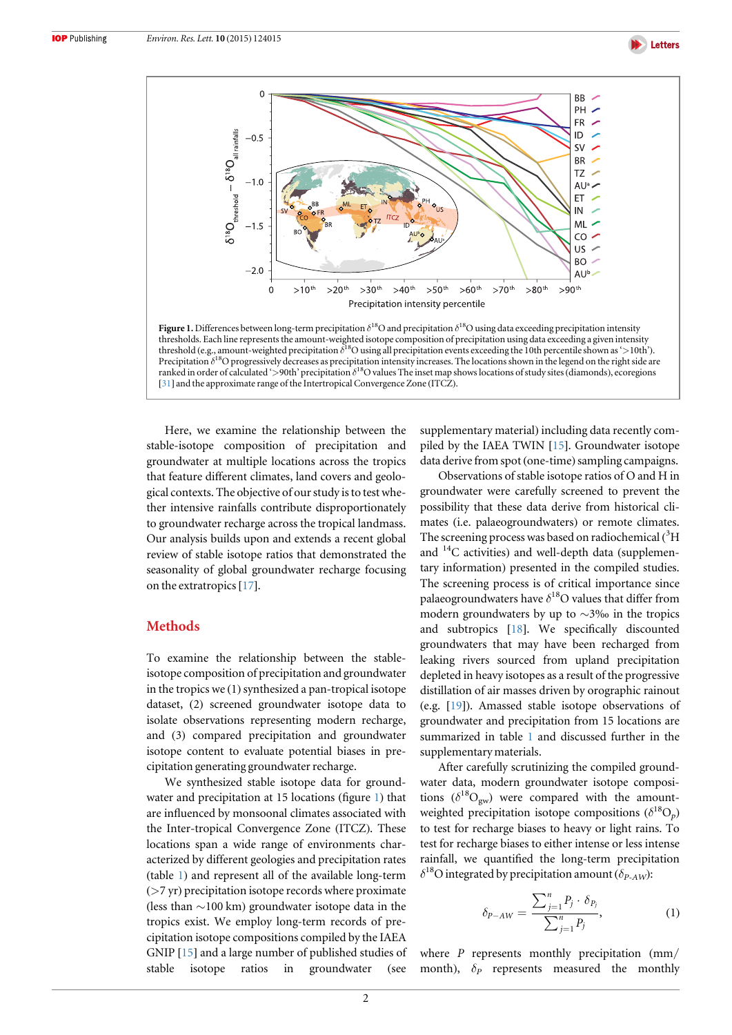

<span id="page-2-0"></span>

Precipitation  $\delta^{18}$ O progressively decreases as precipitation intensity increases. The locations shown in the legend on the right side are ranked in order of calculated '>90th' precipitation  $\delta^{18}$ O values The inset map shows locations of study sites (diamonds), ecoregions [[31](#page-7-0)] and the approximate range of the Intertropical Convergence Zone (ITCZ).

Here, we examine the relationship between the stable-isotope composition of precipitation and groundwater at multiple locations across the tropics that feature different climates, land covers and geological contexts. The objective of our study is to test whether intensive rainfalls contribute disproportionately to groundwater recharge across the tropical landmass. Our analysis builds upon and extends a recent global review of stable isotope ratios that demonstrated the seasonality of global groundwater recharge focusing on the extratropics[[17](#page-6-14)].

## **Methods**

To examine the relationship between the stableisotope composition of precipitation and groundwater in the tropics we (1) synthesized a pan-tropical isotope dataset, (2) screened groundwater isotope data to isolate observations representing modern recharge, and (3) compared precipitation and groundwater isotope content to evaluate potential biases in precipitation generating groundwater recharge.

We synthesized stable isotope data for groundwater and precipitation at 15 locations (figure [1](#page-2-0)) that are influenced by monsoonal climates associated with the Inter-tropical Convergence Zone (ITCZ). These locations span a wide range of environments characterized by different geologies and precipitation rates (table [1](#page-3-0)) and represent all of the available long-term (>7 yr) precipitation isotope records where proximate (less than ∼100 km) groundwater isotope data in the tropics exist. We employ long-term records of precipitation isotope compositions compiled by the IAEA GNIP [[15](#page-6-12)] and a large number of published studies of stable isotope ratios in groundwater (see

supplementary material) including data recently compiled by the IAEA TWIN [[15](#page-6-12)]. Groundwater isotope data derive from spot (one-time) sampling campaigns.

Observations of stable isotope ratios of O and H in groundwater were carefully screened to prevent the possibility that these data derive from historical climates (i.e. palaeogroundwaters) or remote climates. The screening process was based on radiochemical (3H and  $^{14}$ C activities) and well-depth data (supplementary information) presented in the compiled studies. The screening process is of critical importance since palaeogroundwaters have  $\delta^{18}$ O values that differ from modern groundwaters by up to ∼3‰ in the tropics and subtropics [[18](#page-6-15)]. We specifically discounted groundwaters that may have been recharged from leaking rivers sourced from upland precipitation depleted in heavy isotopes as a result of the progressive distillation of air masses driven by orographic rainout (e.g. [[19](#page-6-16)]). Amassed stable isotope observations of groundwater and precipitation from 15 locations are summarized in table [1](#page-3-0) and discussed further in the supplementary materials.

After carefully scrutinizing the compiled groundwater data, modern groundwater isotope compositions  $(\delta^{18}O_{gw})$  were compared with the amountweighted precipitation isotope compositions  $(\delta^{18}O_p)$ to test for recharge biases to heavy or light rains. To test for recharge biases to either intense or less intense rainfall, we quantified the long-term precipitation  $\delta^{18}$ O integrated by precipitation amount ( $\delta_{P-AW}$ ):

$$
\delta_{P-AW} = \frac{\sum_{j=1}^{n} P_j \cdot \delta_{P_j}}{\sum_{j=1}^{n} P_j},
$$
 (1)

where  $P$  represents monthly precipitation (mm/ month),  $\delta_P$  represents measured the monthly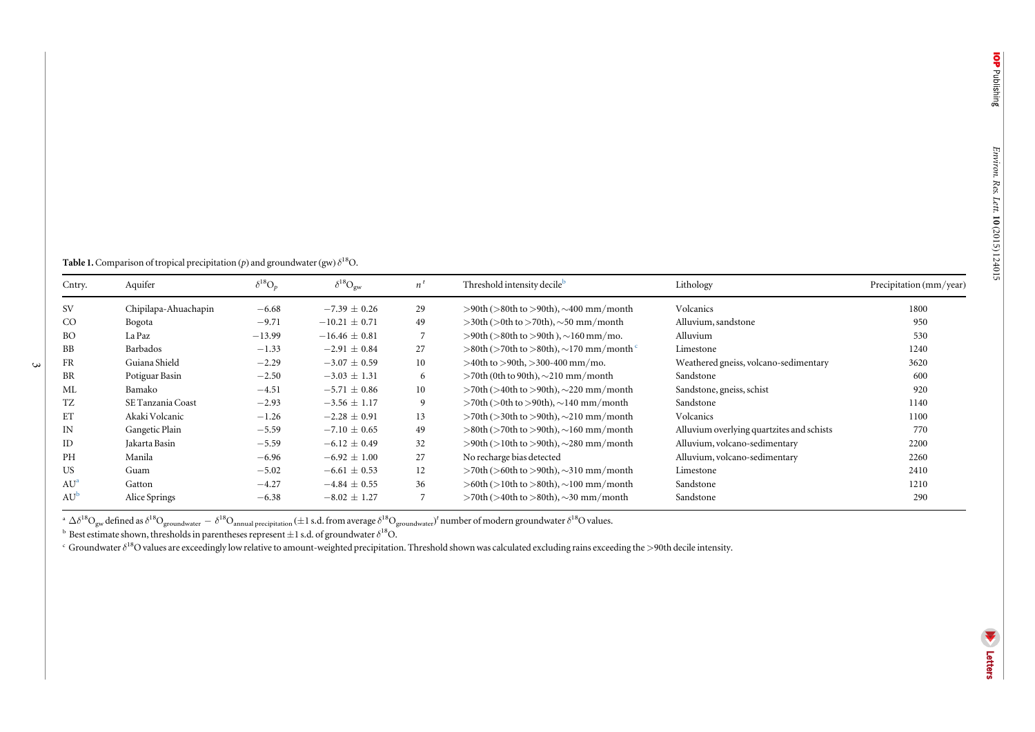<span id="page-3-0"></span>**Table 1.** Comparison of tropical precipitation (p) and groundwater (gw)  $\delta^{18}O$ .

 $\mathbf{\omega}$ 

| Cntry.          | Aquifer              | $\delta^{18}O_p$ | $\delta^{18}O_{gw}$ | $n^t$ | Threshold intensity decile <sup>b</sup>                            | Lithology                                 | Precipitation (mm/year) |
|-----------------|----------------------|------------------|---------------------|-------|--------------------------------------------------------------------|-------------------------------------------|-------------------------|
| <b>SV</b>       | Chipilapa-Ahuachapin | $-6.68$          | $-7.39 \pm 0.26$    | 29    | $>90th$ ( $>80th$ to $>90th$ ), $\sim$ 400 mm/month                | Volcanics                                 | 1800                    |
| CO              | Bogota               | $-9.71$          | $-10.21 \pm 0.71$   | 49    | $>$ 30th ( $>$ 0th to $>$ 70th), $\sim$ 50 mm/month                | Alluvium, sandstone                       | 950                     |
| <b>BO</b>       | La Paz               | $-13.99$         | $-16.46 \pm 0.81$   | 7     | $>90$ th ( $>80$ th to $>90$ th), $\sim$ 160 mm/mo.                | Alluvium                                  | 530                     |
| BB              | Barbados             | $-1.33$          | $-2.91 \pm 0.84$    | 27    | $>$ 80th ( $>$ 70th to $>$ 80th), $\sim$ 170 mm/month <sup>c</sup> | Limestone                                 | 1240                    |
| FR              | Guiana Shield        | $-2.29$          | $-3.07 \pm 0.59$    | 10    | $>40$ th to $>90$ th, $>300-400$ mm/mo.                            | Weathered gneiss, volcano-sedimentary     | 3620                    |
| BR              | Potiguar Basin       | $-2.50$          | $-3.03 \pm 1.31$    | 6     | $>$ 70th (0th to 90th), $\sim$ 210 mm/month                        | Sandstone                                 | 600                     |
| ML              | Bamako               | $-4.51$          | $-5.71 \pm 0.86$    | 10    | $>70$ th ( $>40$ th to $>90$ th), $\sim$ 220 mm/month              | Sandstone, gneiss, schist                 | 920                     |
| TZ              | SE Tanzania Coast    | $-2.93$          | $-3.56 \pm 1.17$    | 9     | $>70$ th ( $>0$ th to $>90$ th), $\sim$ 140 mm/month               | Sandstone                                 | 1140                    |
| ET              | Akaki Volcanic       | $-1.26$          | $-2.28 \pm 0.91$    | 13    | $>70$ th ( $>30$ th to $>90$ th), $\sim$ 210 mm/month              | Volcanics                                 | 1100                    |
| IN              | Gangetic Plain       | $-5.59$          | $-7.10 \pm 0.65$    | 49    | $>80$ th ( $>70$ th to $>90$ th), $\sim$ 160 mm/month              | Alluvium overlying quartzites and schists | 770                     |
| ID              | Jakarta Basin        | $-5.59$          | $-6.12 \pm 0.49$    | 32    | $>90$ th ( $>10$ th to $>90$ th), $\sim$ 280 mm/month              | Alluvium, volcano-sedimentary             | 2200                    |
| PH              | Manila               | $-6.96$          | $-6.92 \pm 1.00$    | 27    | No recharge bias detected                                          | Alluvium, volcano-sedimentary             | 2260                    |
| <b>US</b>       | Guam                 | $-5.02$          | $-6.61 \pm 0.53$    | 12    | $>70$ th ( $>60$ th to $>90$ th), $\sim$ 310 mm/month              | Limestone                                 | 2410                    |
| AU <sup>a</sup> | Gatton               | $-4.27$          | $-4.84 \pm 0.55$    | 36    | $>60th$ ( $>10th$ to $>80th$ ), $\sim$ 100 mm/month                | Sandstone                                 | 1210                    |
| $AU^b$          | Alice Springs        | $-6.38$          | $-8.02 \pm 1.27$    | 7     | $>70$ th ( $>40$ th to $>80$ th), $\sim$ 30 mm/month               | Sandstone                                 | 290                     |

a  $\Delta \delta^{18}\rm{O}_{\rm{gw}}$  defined as  $\delta^{18}\rm{O}_{\rm{groundwater}}-\delta^{18}\rm{O}_{\rm{annual}\rm{precision}}$  ( $\pm1$  s.d. from average  $\delta^{18}\rm{O}_{\rm{groundwater}}$ ) $^t$  number of modern groundwater  $\delta^{18}\rm{O}$  values.<br>b Best estimate shown, thresholds in parentheses re

 $\cdot$  Groundwater  $\delta^{18}$ O values are exceedingly low relative to amount-weighted precipitation. Threshold shown was calculated excluding rains exceeding the >90th decile intensity.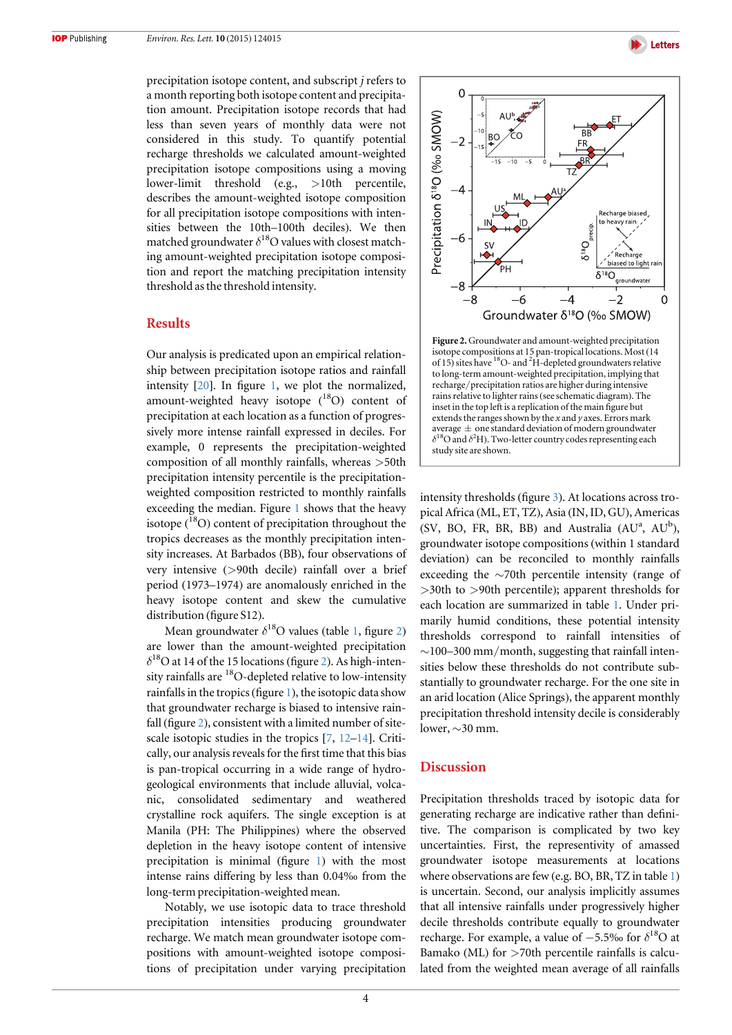

precipitation isotope content, and subscript j refers to a month reporting both isotope content and precipitation amount. Precipitation isotope records that had less than seven years of monthly data were not considered in this study. To quantify potential recharge thresholds we calculated amount-weighted precipitation isotope compositions using a moving lower-limit threshold (e.g., >10th percentile, describes the amount-weighted isotope composition for all precipitation isotope compositions with intensities between the 10th–100th deciles). We then matched groundwater  $\delta^{18}$ O values with closest matching amount-weighted precipitation isotope composition and report the matching precipitation intensity threshold as the threshold intensity.

#### **Results**

Our analysis is predicated upon an empirical relationship between precipitation isotope ratios and rainfall intensity [[20](#page-7-1)]. In figure [1,](#page-2-0) we plot the normalized, amount-weighted heavy isotope (<sup>18</sup>O) content of precipitation at each location as a function of progressively more intense rainfall expressed in deciles. For example, 0 represents the precipitation-weighted composition of all monthly rainfalls, whereas >50th precipitation intensity percentile is the precipitationweighted composition restricted to monthly rainfalls exceeding the median. Figure [1](#page-2-0) shows that the heavy isotope ( $^{18}$ O) content of precipitation throughout the tropics decreases as the monthly precipitation intensity increases. At Barbados (BB), four observations of very intensive (>90th decile) rainfall over a brief period (1973–1974) are anomalously enriched in the heavy isotope content and skew the cumulative distribution (figure S12).

Mean groundwater  $\delta^{18}$  $\delta^{18}$  $\delta^{18}$ O values (table 1, figure [2](#page-4-0)) are lower than the amount-weighted precipitation  $\delta^{18}$ O at 14 of the 15 locations (figure [2](#page-4-0)). As high-intensity rainfalls are  $^{18}$ O-depleted relative to low-intensity rainfalls in the tropics(figure [1](#page-2-0)), the isotopic data show that groundwater recharge is biased to intensive rain-fall (figure [2](#page-4-0)), consistent with a limited number of sitescale isotopic studies in the tropics [[7](#page-6-6), [12](#page-6-10)–[14](#page-6-11)]. Critically, our analysis reveals for the first time that this bias is pan-tropical occurring in a wide range of hydrogeological environments that include alluvial, volcanic, consolidated sedimentary and weathered crystalline rock aquifers. The single exception is at Manila (PH: The Philippines) where the observed depletion in the heavy isotope content of intensive precipitation is minimal (figure [1](#page-2-0)) with the most intense rains differing by less than 0.04‰ from the long-term precipitation-weighted mean.

Notably, we use isotopic data to trace threshold precipitation intensities producing groundwater recharge. We match mean groundwater isotope compositions with amount-weighted isotope compositions of precipitation under varying precipitation

<span id="page-4-0"></span>

Figure 2. Groundwater and amount-weighted precipitation isotope compositions at 15 pan-tropical locations. Most (14 of 15) sites have <sup>18</sup>O- and <sup>2</sup>H-depleted groundwaters relative to long-term amount-weighted precipitation, implying that recharge/precipitation ratios are higher during intensive rains relative to lighter rains(see schematic diagram). The inset in the top left is a replication of the main figure but extends the ranges shown by the  $x$  and  $y$  axes. Errors mark average  $\pm$  one standard deviation of modern groundwater  $\delta^{18}$ O and  $\delta^{2}$ H). Two-letter country codes representing each study site are shown.

intensity thresholds (figure [3](#page-5-0)). At locations across tropical Africa (ML, ET, TZ), Asia (IN, ID, GU), Americas (SV, BO, FR, BR, BB) and Australia  $(AU^a, AU^b)$ , groundwater isotope compositions (within 1 standard deviation) can be reconciled to monthly rainfalls exceeding the ∼70th percentile intensity (range of >30th to >90th percentile); apparent thresholds for each location are summarized in table [1.](#page-3-0) Under primarily humid conditions, these potential intensity thresholds correspond to rainfall intensities of ∼100–300 mm/month, suggesting that rainfall intensities below these thresholds do not contribute substantially to groundwater recharge. For the one site in an arid location (Alice Springs), the apparent monthly precipitation threshold intensity decile is considerably lower, ∼30 mm.

## Discussion

Precipitation thresholds traced by isotopic data for generating recharge are indicative rather than definitive. The comparison is complicated by two key uncertainties. First, the representivity of amassed groundwater isotope measurements at locations where observations are few (e.g. BO, BR, TZ in table [1](#page-3-0)) is uncertain. Second, our analysis implicitly assumes that all intensive rainfalls under progressively higher decile thresholds contribute equally to groundwater recharge. For example, a value of  $-5.5%$  for  $\delta^{18}O$  at Bamako (ML) for >70th percentile rainfalls is calculated from the weighted mean average of all rainfalls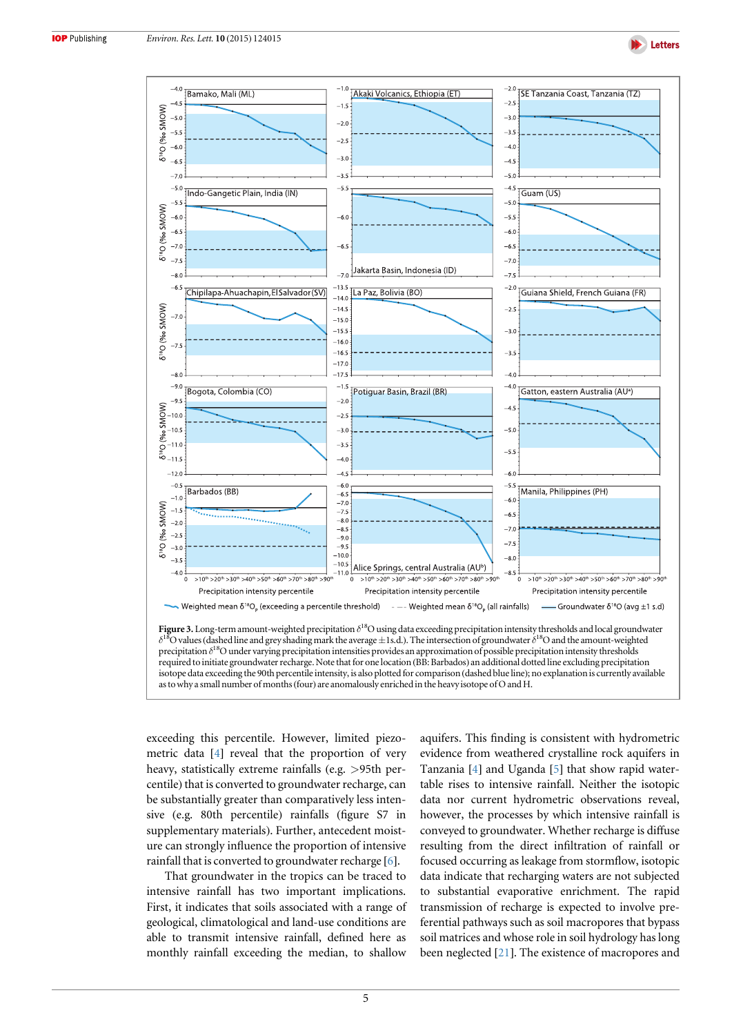

<span id="page-5-0"></span>

exceeding this percentile. However, limited piezometric data [[4](#page-6-3)] reveal that the proportion of very heavy, statistically extreme rainfalls (e.g. >95th percentile) that is converted to groundwater recharge, can be substantially greater than comparatively less intensive (e.g. 80th percentile) rainfalls (figure S7 in supplementary materials). Further, antecedent moisture can strongly influence the proportion of intensive rainfall that is converted to groundwater recharge [[6](#page-6-5)].

That groundwater in the tropics can be traced to intensive rainfall has two important implications. First, it indicates that soils associated with a range of geological, climatological and land-use conditions are able to transmit intensive rainfall, defined here as monthly rainfall exceeding the median, to shallow aquifers. This finding is consistent with hydrometric evidence from weathered crystalline rock aquifers in Tanzania [[4](#page-6-3)] and Uganda [[5](#page-6-4)] that show rapid watertable rises to intensive rainfall. Neither the isotopic data nor current hydrometric observations reveal, however, the processes by which intensive rainfall is conveyed to groundwater. Whether recharge is diffuse resulting from the direct infiltration of rainfall or focused occurring as leakage from stormflow, isotopic data indicate that recharging waters are not subjected to substantial evaporative enrichment. The rapid transmission of recharge is expected to involve preferential pathways such as soil macropores that bypass soil matrices and whose role in soil hydrology has long been neglected [[21](#page-7-2)]. The existence of macropores and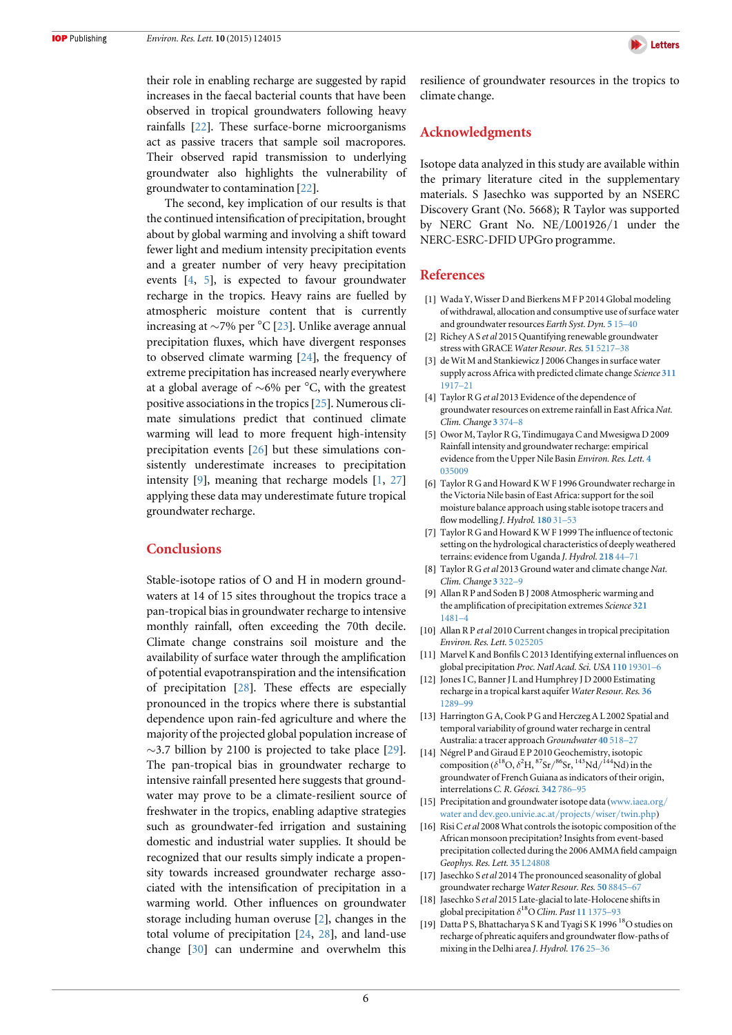their role in enabling recharge are suggested by rapid increases in the faecal bacterial counts that have been observed in tropical groundwaters following heavy rainfalls [[22](#page-7-3)]. These surface-borne microorganisms act as passive tracers that sample soil macropores. Their observed rapid transmission to underlying groundwater also highlights the vulnerability of groundwater to contamination [[22](#page-7-3)].

The second, key implication of our results is that the continued intensification of precipitation, brought about by global warming and involving a shift toward fewer light and medium intensity precipitation events and a greater number of very heavy precipitation events [[4,](#page-6-3) [5](#page-6-4)], is expected to favour groundwater recharge in the tropics. Heavy rains are fuelled by atmospheric moisture content that is currently increasing at ∼7% per °C [[23](#page-7-4)]. Unlike average annual precipitation fluxes, which have divergent responses to observed climate warming [[24](#page-7-5)], the frequency of extreme precipitation has increased nearly everywhere at a global average of ∼6% per °C, with the greatest positive associations in the tropics[[25](#page-7-6)]. Numerous climate simulations predict that continued climate warming will lead to more frequent high-intensity precipitation events [[26](#page-7-7)] but these simulations consistently underestimate increases to precipitation intensity [[9](#page-6-8)], meaning that recharge models [[1](#page-6-0), [27](#page-7-8)] applying these data may underestimate future tropical groundwater recharge.

### **Conclusions**

Stable-isotope ratios of O and H in modern groundwaters at 14 of 15 sites throughout the tropics trace a pan-tropical bias in groundwater recharge to intensive monthly rainfall, often exceeding the 70th decile. Climate change constrains soil moisture and the availability of surface water through the amplification of potential evapotranspiration and the intensification of precipitation [[28](#page-7-9)]. These effects are especially pronounced in the tropics where there is substantial dependence upon rain-fed agriculture and where the majority of the projected global population increase of ∼3.7 billion by 2100 is projected to take place [[29](#page-7-10)]. The pan-tropical bias in groundwater recharge to intensive rainfall presented here suggests that groundwater may prove to be a climate-resilient source of freshwater in the tropics, enabling adaptive strategies such as groundwater-fed irrigation and sustaining domestic and industrial water supplies. It should be recognized that our results simply indicate a propensity towards increased groundwater recharge associated with the intensification of precipitation in a warming world. Other influences on groundwater storage including human overuse [[2](#page-6-1)], changes in the total volume of precipitation [[24](#page-7-5), [28](#page-7-9)], and land-use change [[30](#page-7-11)] can undermine and overwhelm this

resilience of groundwater resources in the tropics to climate change.

## Acknowledgments

Isotope data analyzed in this study are available within the primary literature cited in the supplementary materials. S Jasechko was supported by an NSERC Discovery Grant (No. 5668); R Taylor was supported by NERC Grant No. NE/L001926/1 under the NERC-ESRC-DFID UPGro programme.

#### References

- <span id="page-6-0"></span>[1] Wada Y, Wisser D and Bierkens M F P 2014 Global modeling of withdrawal, allocation and consumptive use of surface water and groundwater resources Earth Syst. Dyn. 5 [15](http://dx.doi.org/10.5194/esd-5-15-2014)–[40](http://dx.doi.org/10.5194/esd-5-15-2014)
- <span id="page-6-1"></span>[2] Richey A S et al 2015 Quantifying renewable groundwater stress with GRACE Water Resour. Res. 51 [5217](http://dx.doi.org/10.1002/2015WR017349)–38
- <span id="page-6-2"></span>[3] de Wit M and Stankiewicz J 2006 Changes in surface water supply across Africa with predicted climate change Science [311](http://dx.doi.org/10.1126/science.1119929) [1917](http://dx.doi.org/10.1126/science.1119929)–21
- <span id="page-6-3"></span>[4] Taylor R G et al 2013 Evidence of the dependence of groundwater resources on extreme rainfall in East Africa Nat. Clim. Change 3 [374](http://dx.doi.org/10.1038/nclimate1731)–8
- <span id="page-6-4"></span>[5] Owor M, Taylor R G, Tindimugaya C and Mwesigwa D 2009 Rainfall intensity and groundwater recharge: empirical evidence from the Upper Nile Basin Environ. Res. Lett. [4](http://dx.doi.org/10.1088/1748-9326/4/3/035009) [035009](http://dx.doi.org/10.1088/1748-9326/4/3/035009)
- <span id="page-6-5"></span>[6] Taylor R G and Howard K W F 1996 Groundwater recharge in the Victoria Nile basin of East Africa: support for the soil moisture balance approach using stable isotope tracers and flow modelling J. Hydrol. [180](http://dx.doi.org/10.1016/0022-1694(95)02899-4) 31–53
- <span id="page-6-6"></span>[7] Taylor R G and Howard K W F 1999 The influence of tectonic setting on the hydrological characteristics of deeply weathered terrains: evidence from Uganda J. Hydrol. [218](http://dx.doi.org/10.1016/S0022-1694(99)00024-4) 44–71
- <span id="page-6-7"></span>Taylor R G et al 2013 Ground water and climate change Nat. Clim. Change 3 [322](http://dx.doi.org/10.1038/nclimate1744)–9
- <span id="page-6-8"></span>[9] Allan R P and Soden B J 2008 Atmospheric warming and the amplification of precipitation extremes Science [321](http://dx.doi.org/10.1126/science.1160787) [1481](http://dx.doi.org/10.1126/science.1160787)–4
- [10] Allan R P et al 2010 Current changes in tropical precipitation Environ. Res. Lett. 5 [025205](http://dx.doi.org/10.1088/1748-9326/5/2/025205)
- <span id="page-6-9"></span>[11] Marvel K and Bonfils C 2013 Identifying external influences on global precipitation Proc. Natl Acad. Sci. USA 110 [19301](http://dx.doi.org/10.1073/pnas.1314382110)–6
- <span id="page-6-10"></span>[12] Jones I C, Banner J L and Humphrey J D 2000 Estimating recharge in a tropical karst aquifer Water Resour. Res. [36](http://dx.doi.org/10.1029/1999WR900358) [1289](http://dx.doi.org/10.1029/1999WR900358)–99
- [13] Harrington G A, Cook P G and Herczeg A L 2002 Spatial and temporal variability of ground water recharge in central Australia: a tracer approach Groundwater 40 [518](http://dx.doi.org/10.1111/j.1745-6584.2002.tb02536.x)-27
- <span id="page-6-11"></span>[14] Négrel P and Giraud E P 2010 Geochemistry, isotopic composition ( $\delta^{18}O$ ,  $\delta^{2}H$ ,  ${}^{87}Sr/{}^{86}Sr$ ,  ${}^{143}Nd/{}^{144}Nd$ ) in the groundwater of French Guiana as indicators of their origin, interrelations C. R. Géosci. [342](http://dx.doi.org/10.1016/j.crte.2010.07.003) 786–95
- <span id="page-6-12"></span>[15] Precipitation and groundwater isotope data ([www.iaea.org](http://www.iaea.org/water and dev.geo.univie.ac.at/projects/wiser/twin.php)/ [water and dev.geo.univie.ac.at](http://www.iaea.org/water and dev.geo.univie.ac.at/projects/wiser/twin.php)/projects/wiser/twin.php)
- <span id="page-6-13"></span>[16] Risi C et al 2008 What controls the isotopic composition of the African monsoon precipitation? Insights from event-based precipitation collected during the 2006 AMMA field campaign Geophys. Res. Lett. 35 [L24808](http://dx.doi.org/10.1029/2008GL035920)
- <span id="page-6-14"></span>[17] Jasechko S et al 2014 The pronounced seasonality of global groundwater recharge Water Resour. Res. 50 [8845](http://dx.doi.org/10.1002/2014WR015809)–67
- <span id="page-6-15"></span>[18] Jasechko S et al 2015 Late-glacial to late-Holocene shifts in global precipitation  $\delta^{18}$ O Clim. Past 11 [1375](http://dx.doi.org/10.5194/cp-11-1375-2015)-93
- <span id="page-6-16"></span>[19] Datta P S, Bhattacharya S K and Tyagi S K 1996<sup>18</sup>O studies on recharge of phreatic aquifers and groundwater flow-paths of mixing in the Delhi area J. Hydrol. [176](http://dx.doi.org/10.1016/0022-1694(95)02784-X) 25–36